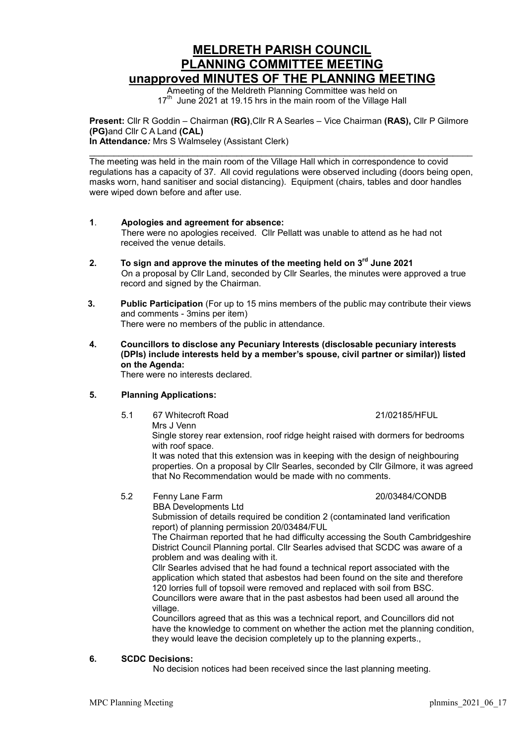# MELDRETH PARISH COUNCIL PLANNING COMMITTEE MEETING unapproved MINUTES OF THE PLANNING MEETING

Ameeting of the Meldreth Planning Committee was held on 17<sup>th</sup> June 2021 at 19.15 hrs in the main room of the Village Hall

Present: Cllr R Goddin – Chairman (RG), Cllr R A Searles – Vice Chairman (RAS), Cllr P Gilmore (PG)and Cllr C A Land (CAL) In Attendance: Mrs S Walmseley (Assistant Clerk)

The meeting was held in the main room of the Village Hall which in correspondence to covid regulations has a capacity of 37. All covid regulations were observed including (doors being open, masks worn, hand sanitiser and social distancing). Equipment (chairs, tables and door handles were wiped down before and after use.

- 1. Apologies and agreement for absence: There were no apologies received. Cllr Pellatt was unable to attend as he had not received the venue details.
- 2. To sign and approve the minutes of the meeting held on  $3<sup>rd</sup>$  June 2021 On a proposal by Cllr Land, seconded by Cllr Searles, the minutes were approved a true record and signed by the Chairman.
- 3. Public Participation (For up to 15 mins members of the public may contribute their views and comments - 3mins per item) There were no members of the public in attendance.
- 4. Councillors to disclose any Pecuniary Interests (disclosable pecuniary interests (DPIs) include interests held by a member's spouse, civil partner or similar)) listed on the Agenda:

There were no interests declared.

## 5. Planning Applications:

 5.1 67 Whitecroft Road 21/02185/HFUL Mrs J Venn

Single storey rear extension, roof ridge height raised with dormers for bedrooms with roof space. It was noted that this extension was in keeping with the design of neighbouring

properties. On a proposal by Cllr Searles, seconded by Cllr Gilmore, it was agreed that No Recommendation would be made with no comments.

### 5.2 Fenny Lane Farm 20/03484/CONDB BBA Developments Ltd

Submission of details required be condition 2 (contaminated land verification report) of planning permission 20/03484/FUL

The Chairman reported that he had difficulty accessing the South Cambridgeshire District Council Planning portal. Cllr Searles advised that SCDC was aware of a problem and was dealing with it.

Cllr Searles advised that he had found a technical report associated with the application which stated that asbestos had been found on the site and therefore 120 lorries full of topsoil were removed and replaced with soil from BSC. Councillors were aware that in the past asbestos had been used all around the village.

Councillors agreed that as this was a technical report, and Councillors did not have the knowledge to comment on whether the action met the planning condition, they would leave the decision completely up to the planning experts.,

### 6. SCDC Decisions:

No decision notices had been received since the last planning meeting.